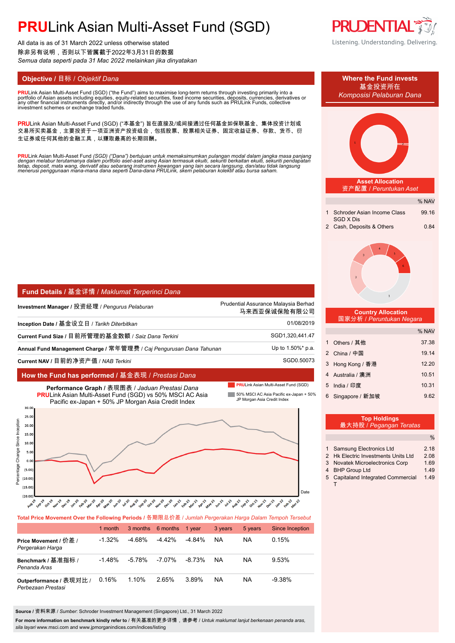# **PRU**Link Asian Multi-Asset Fund (SGD)

All data is as of 31 March 2022 unless otherwise stated 除非另有说明,否则以下皆属截于2022年3月31日的数据 *Semua data seperti pada 31 Mac 2022 melainkan jika dinyatakan*

**PRU**Link Asian Multi-Asset Fund (SGD) ("the Fund") aims to maximise long-term returns through investing primarily into a<br>portfolio of Asian assets including equities, equity-related securities, fixed income securities, de portfolio of Asian assets including equities, equity-related securities, fixed income securities, deposits, currencies, derivatives or<br>any other financial instruments directly, and/or indirectly through the use of any fund

PRULink Asian Multi-Asset Fund (SGD) ("本基金") 旨在直接及/或间接通过任何基金如保联基金、集体投资计划或 交易所买卖基金,主要投资于一项亚洲资产投资组合,包括股票、股票相关证券、固定收益证券、存款、货币、衍 生证券或任何其他的金融工具,以赚取最高的长期回酬。

<mark>PRU</mark>Link Asian Multi-Asset Fund (SGD) ("Dana") bertujuan untuk memaksimumkan pulangan modal dalam jangka masa panjang<br>dengan melabur terutamanya dalam portfolio aset-aset asing Asian termasuk ekuiti, sekuriti berkaitan ek

| <b>Fund Details / 基金详情 / Maklumat Terperinci Dana</b>               |                                                      |  |  |
|---------------------------------------------------------------------|------------------------------------------------------|--|--|
| Investment Manager / 投资经理 / <i>Penqurus Pelaburan</i>               | Prudential Assurance Malaysia Berhad<br>马来西亚保诚保险有限公司 |  |  |
| Inception Date / 基金设立日 / Tarikh Diterbitkan                         | 01/08/2019                                           |  |  |
| Current Fund Size / 目前所管理的基金数额 / Saiz Dana Terkini                  | SGD1,320,441.47                                      |  |  |
| Annual Fund Management Charge / 常年管理费 / Cai Pengurusan Dana Tahunan | Up to 1.50%* p.a.                                    |  |  |
| Current NAV / 目前的净资产值 / NAB <i>Terkini</i>                          | SGD0.50073                                           |  |  |

#### **How the Fund has performed /** 基金表现 / *Prestasi Dana*

 $(15.0)$ 

**PRULink Asian Multi-Asset Fund (SGD)** 

Date



### $(20.00)$ للتميز المعنى للمستحدث والمستحمل والمستحرم والمستحمل والمستحمل والمستحمل والمستحمل والمستحمل والمستحمل والمستحمل والمستحمل والمستحمل والمستحمل والمستحمل والمستحمل والمستحمل والمستحمل والمستحمل والمستحمل والمستحمل والمستحمل

**Total Price Movement Over the Following Periods /** 各期限总价差 / *Jumlah Pergerakan Harga Dalam Tempoh Tersebut*

|                                               | 1 month   |           | 3 months 6 months | 1 vear    | 3 years | 5 years | Since Inception |
|-----------------------------------------------|-----------|-----------|-------------------|-----------|---------|---------|-----------------|
| Price Movement / 价差 /<br>Pergerakan Harga     | $-1.32\%$ | -4 68%    | $-4.42%$          | -4.84%    | NA      | NA      | 0.15%           |
| Benchmark / 基准指标 /<br>Penanda Aras            | $-1.48%$  | $-5.78\%$ | -7.07%            | $-8.73\%$ | NA      | NA      | 9.53%           |
| Outperformance / 表现对比 /<br>Perbezaan Prestasi | 0.16%     | 1.10%     | 2.65%             | 3.89%     | NA      | NA      | $-9.38%$        |

**Source /** 资料来源 / *Sumber*: Schroder Investment Management (Singapore) Ltd., 31 March 2022

**For more information on benchmark kindly refer to** / 有关基准的更多详情,请参考 / *Untuk maklumat lanjut berkenaan penanda aras, sila layari* www.msci.com and www.jpmorganindices.com/indices/listing



% NAV **Asset Allocation** 资产配置 / *Peruntukan Aset* 1 Schroder Asian Income Class 99.16 SGD X Dis 2 Cash, Deposits & Others 0.84  **Country Allocation** 国家分析 / *Peruntukan Negara* % NAV 1 Others / 其他 37.38 2 China / 中国 19.14 3 Hong Kong / 香港 12.20 4 Australia / 澳洲 10.51 5 India / 印度 10.31 6 Singapore / 新加坡 9.62  $\frac{1}{2}$ **Top Holdings** 最大持股 / *Pegangan Teratas* 1 Samsung Electronics Ltd 2.18 **Objective /** 目标 / *Objektif Dana* **Where the Fund invests** 基金投资所在 *Komposisi Pelaburan Dana*

|   | <b>I</b> Jamsung Electronics Ltd     | Z. 10 |
|---|--------------------------------------|-------|
|   | 2 Hk Electric Investments Units Ltd  | 2.08  |
| 3 | <b>Novatek Microelectronics Corp</b> | 1.69  |
|   | 4 BHP Group Ltd                      | 149   |
|   | 5 Capitaland Integrated Commercial   | 1.49  |
|   |                                      |       |
|   |                                      |       |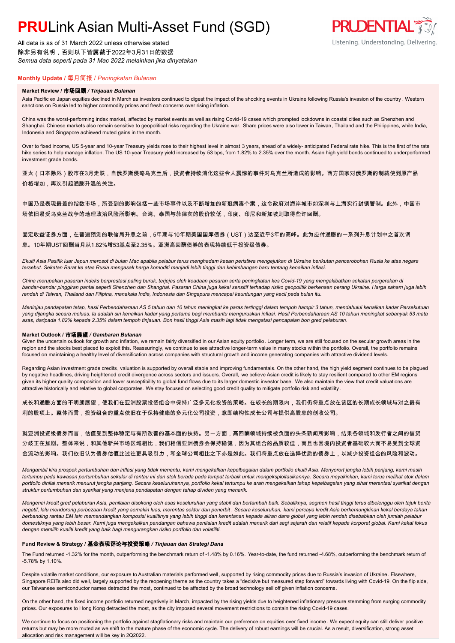# **PRU**Link Asian Multi-Asset Fund (SGD)

All data is as of 31 March 2022 unless otherwise stated 除非另有说明,否则以下皆属截于2022年3月31日的数据 *Semua data seperti pada 31 Mac 2022 melainkan jika dinyatakan*

### **Monthly Update /** 每月简报 / *Peningkatan Bulanan*

#### **Market Review /** 市场回顾 */ Tinjauan Bulanan*

Asia Pacific ex Japan equities declined in March as investors continued to digest the impact of the shocking events in Ukraine following Russia's invasion of the country . Western sanctions on Russia led to higher commodity prices and fresh concerns over rising inflation.

China was the worst-performing index market, affected by market events as well as rising Covid-19 cases which prompted lockdowns in coastal cities such as Shenzhen and Shanghai. Chinese markets also remain sensitive to geopolitical risks regarding the Ukraine war. Share prices were also lower in Taiwan, Thailand and the Philippines, while India, Indonesia and Singapore achieved muted gains in the month.

Over to fixed income, US 5-year and 10-year Treasury yields rose to their highest level in almost 3 years, ahead of a widely- anticipated Federal rate hike. This is the first of the rate hike series to help manage inflation. The US 10-year Treasury yield increased by 53 bps, from 1.82% to 2.35% over the month. Asian high yield bonds continued to underperformed investment grade bonds.

亚太(日本除外)股市在3月走跌,自俄罗斯侵略乌克兰后,投资者持续消化这些令人震惊的事件对乌克兰所造成的影响。西方国家对俄罗斯的制裁使到原产品 价格增加,再次引起通膨升温的关注。

中国乃是表现最差的指数市场,所受到的影响包括一些市场事件以及不断增加的新冠病毒个案,这令政府对海岸城市如深圳与上海实行封锁管制。此外,中国市 场依旧易受乌克兰战争的地理政治风险所影响。台湾、泰国与菲律宾的股价较低,印度、印尼和新加坡则取得些许回酬。

### 固定收益证券方面,在普遍预测的联储局升息之前,5年期与10年期美国国库债券(UST)达至近乎3年的高峰。此为应付通膨的一系列升息计划中之首次调 息。10年期UST回酬当月从1.82%增53基点至2.35%。亚洲高回酬债券的表现持续低于投资级债券。

*Ekuiti Asia Pasifik luar Jepun merosot di bulan Mac apabila pelabur terus menghadam kesan peristiwa mengejutkan di Ukraine berikutan pencerobohan Rusia ke atas negara tersebut. Sekatan Barat ke atas Rusia mengasak harga komoditi menjadi lebih tinggi dan kebimbangan baru tentang kenaikan inflasi.*

*China merupakan pasaran indeks berprestasi paling buruk, terjejas oleh keadaan pasaran serta peningkatan kes Covid-19 yang mengakibatkan sekatan pergerakan di bandar-bandar pinggiran pantai seperti Shenzhen dan Shanghai. Pasaran China juga kekal sensitif terhadap risiko geopolitik berkenaan perang Ukraine. Harga saham juga lebih rendah di Taiwan, Thailand dan Filipina, manakala India, Indonesia dan Singapura mencapai keuntungan yang kecil pada bulan itu.*

*Meninjau pendapatan tetap, hasil Perbendaharaan AS 5 tahun dan 10 tahun meningkat ke paras tertinggi dalam tempoh hampir 3 tahun, mendahului kenaikan kadar Persekutuan yang dijangka secara meluas. Ia adalah siri kenaikan kadar yang pertama bagi membantu menguruskan inflasi. Hasil Perbendaharaan AS 10 tahun meningkat sebanyak 53 mata asas, daripada 1.82% kepada 2.35% dalam tempoh tinjauan. Bon hasil tinggi Asia masih lagi tidak mengatasi pencapaian bon gred pelaburan.*

#### **Market Outlook /** 市场展望 */ Gambaran Bulanan*

Given the uncertain outlook for growth and inflation, we remain fairly diversified in our Asian equity portfolio. Longer term, we are still focused on the secular growth areas in the region and the stocks best placed to exploit this. Reassuringly, we continue to see attractive longer-term value in many stocks within the portfolio. Overall, the portfolio remains focused on maintaining a healthy level of diversification across companies with structural growth and income generating companies with attractive dividend levels.

Regarding Asian investment grade credits, valuation is supported by overall stable and improving fundamentals. On the other hand, the high yield segment continues to be plagued by negative headlines, driving heightened credit divergence across sectors and issuers. Overall, we believe Asian credit is likely to stay resilient compared to other EM regions given its higher quality composition and lower susceptibility to global fund flows due to its larger domestic investor base. We also maintain the view that credit valuations are attractive historically and relative to global corporates. We stay focused on selecting good credit quality to mitigate portfolio risk and volatility.

成长和通膨方面的不明朗展望,使我们在亚洲股票投资组合中保持广泛多元化投资的策略。在较长的期限内,我们仍将重点放在该区的长期成长领域与对之最有 利的股项上。整体而言,投资组合的重点依旧在于保持健康的多元化公司投资,意即结构性成长公司与提供高股息的创收公司。

```
就亚洲投资级债券而言,估值受到整体稳定与有所改善的基本面的扶持。另一方面,高回酬领域持续被负面的头条新闻所影响,结果各领域和发行者之间的信贷
分歧正在加剧。整体来说,和其他新兴市场区域相比,我们相信亚洲债券会保持稳健,因为其组合的品质较佳,而且也因境内投资者基础较大而不易受到全球资
金流动的影响。我们依旧认为债券估值比过往更具吸引力,和全球公司相比之下亦是如此。我们将重点放在选择优质的债券上,以减少投资组合的风险和波动。
```
*Mengambil kira prospek pertumbuhan dan inflasi yang tidak menentu, kami mengekalkan kepelbagaian dalam portfolio ekuiti Asia. Menyorort jangka lebih panjang, kami masih tertumpu pada kawasan pertumbuhan sekular di rantau ini dan stok berada pada tempat terbaik untuk mengeksploitasikannya. Secara meyakinkan, kami terus melihat stok dalam portfolio dinilai menarik menurut jangka panjang. Secara keseluruhannya, portfolio kekal tertumpu ke arah mengekalkan tahap kepelbagaian yang sihat merentasi syarikat dengan struktur pertumbuhan dan syarikat yang menjana pendapatan dengan tahap dividen yang menarik.*

*Mengenai kredit gred pelaburan Asia, penilaian disokong oleh asas keseluruhan yang stabil dan bertambah baik. Sebaliknya, segmen hasil tinggi terus dibelenggu oleh tajuk berita negatif, lalu mendorong perbezaan kredit yang semakin luas, merentas sektor dan penerbit . Secara keseluruhan, kami percaya kredit Asia berkemungkinan kekal berdaya tahan berbanding rantau EM lain memandangkan komposisi kualitinya yang lebih tinggi dan kerentanan kepada aliran dana global yang lebih rendah disebabkan oleh jumlah pelabur domestiknya yang lebih besar. Kami juga mengekalkan pandangan bahawa penilaian kredit adalah menarik dari segi sejarah dan relatif kepada korporat global. Kami kekal fokus dengan memilih kualiti kredit yang baik bagi mengurangkan risiko portfolio dan volatiliti.*

#### **Fund Review & Strategy /** 基金表现评论与投资策略 */ Tinjauan dan Strategi Dana*

The Fund returned -1.32% for the month, outperforming the benchmark return of -1.48% by 0.16%. Year-to-date, the fund returned -4.68%, outperforming the benchmark return of -5.78% by 1.10%.

Despite volatile market conditions, our exposure to Australian materials performed well, supported by rising commodity prices due to Russia's invasion of Ukraine. Elsewhere, Singapore REITs also did well, largely supported by the reopening theme as the country takes a "decisive but measured step forward" towards living with Covid-19. On the flip side, our Taiwanese semiconductor names detracted the most, continued to be affected by the broad technology sell off given inflation concerns.

On the other hand, the fixed income portfolio returned negatively in March, impacted by the rising yields due to heightened inflationary pressure stemming from surging commodity prices. Our exposures to Hong Kong detracted the most, as the city imposed several movement restrictions to contain the rising Covid-19 cases.

We continue to focus on positioning the portfolio against stagflationary risks and maintain our preference on equities over fixed income . We expect equity can still deliver positive returns but may be more muted as we shift to the mature phase of the economic cycle. The delivery of robust earnings will be crucial. As a result, diversification, strong asset allocation and risk management will be key in 2Q2022.